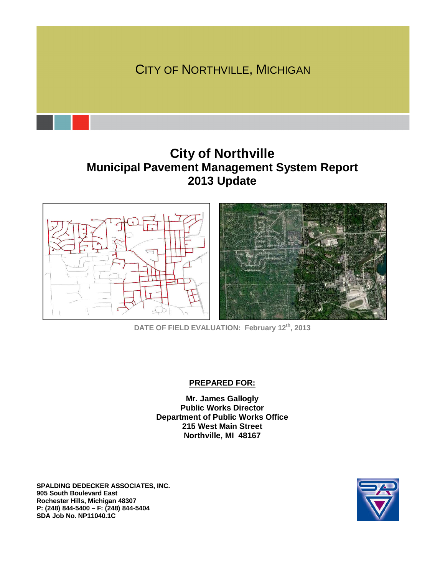

# **City of Northville Municipal Pavement Management System Report 2013 Update**



**DATE OF FIELD EVALUATION: February 12th, 2013** 

#### **PREPARED FOR:**

**Mr. James Gallogly Public Works Director Department of Public Works Office 215 West Main Street Northville, MI 48167** 

**SPALDING DEDECKER ASSOCIATES, INC. 905 South Boulevard East Rochester Hills, Michigan 48307 P: (248) 844-5400 – F: (248) 844-5404 SDA Job No. NP11040.1C**

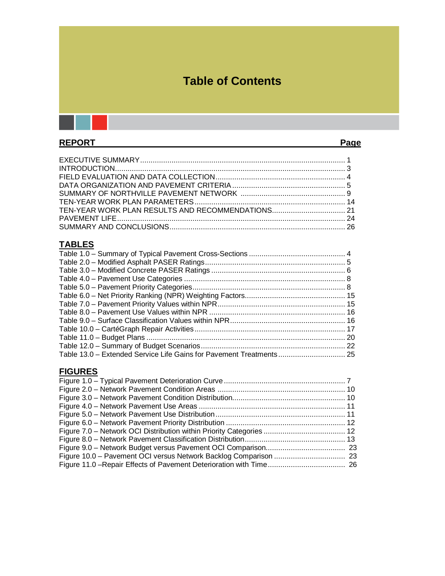# **Table of Contents**

# REPORT Page

# **TABLES**

| Table 13.0 - Extended Service Life Gains for Pavement Treatments 25 |  |
|---------------------------------------------------------------------|--|

# **FIGURES**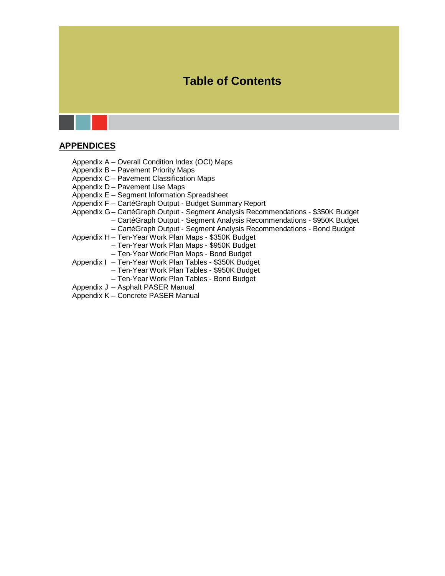# **Table of Contents**

# **APPENDICES**

- Appendix A Overall Condition Index (OCI) Maps
- Appendix B Pavement Priority Maps
- Appendix C Pavement Classification Maps
- Appendix D Pavement Use Maps
- Appendix E Segment Information Spreadsheet
- Appendix F CartéGraph Output Budget Summary Report
- Appendix G CartéGraph Output Segment Analysis Recommendations \$350K Budget
	- CartéGraph Output Segment Analysis Recommendations \$950K Budget
	- CartéGraph Output Segment Analysis Recommendations Bond Budget
- Appendix H Ten-Year Work Plan Maps \$350K Budget
	- Ten-Year Work Plan Maps \$950K Budget
	- Ten-Year Work Plan Maps Bond Budget
- Appendix I Ten-Year Work Plan Tables \$350K Budget
	- Ten-Year Work Plan Tables \$950K Budget
		- Ten-Year Work Plan Tables Bond Budget
- Appendix J Asphalt PASER Manual
- Appendix K Concrete PASER Manual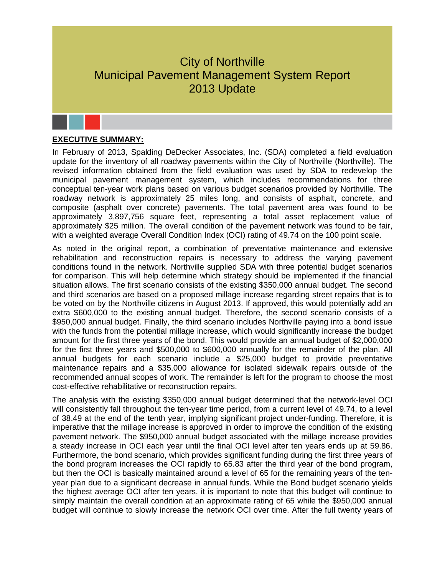# City of Northville Municipal Pavement Management System Report 2013 Update

### **EXECUTIVE SUMMARY:**

In February of 2013, Spalding DeDecker Associates, Inc. (SDA) completed a field evaluation update for the inventory of all roadway pavements within the City of Northville (Northville). The revised information obtained from the field evaluation was used by SDA to redevelop the municipal pavement management system, which includes recommendations for three conceptual ten-year work plans based on various budget scenarios provided by Northville. The roadway network is approximately 25 miles long, and consists of asphalt, concrete, and composite (asphalt over concrete) pavements. The total pavement area was found to be approximately 3,897,756 square feet, representing a total asset replacement value of approximately \$25 million. The overall condition of the pavement network was found to be fair, with a weighted average Overall Condition Index (OCI) rating of 49.74 on the 100 point scale.

As noted in the original report, a combination of preventative maintenance and extensive rehabilitation and reconstruction repairs is necessary to address the varying pavement conditions found in the network. Northville supplied SDA with three potential budget scenarios for comparison. This will help determine which strategy should be implemented if the financial situation allows. The first scenario consists of the existing \$350,000 annual budget. The second and third scenarios are based on a proposed millage increase regarding street repairs that is to be voted on by the Northville citizens in August 2013. If approved, this would potentially add an extra \$600,000 to the existing annual budget. Therefore, the second scenario consists of a \$950,000 annual budget. Finally, the third scenario includes Northville paying into a bond issue with the funds from the potential millage increase, which would significantly increase the budget amount for the first three years of the bond. This would provide an annual budget of \$2,000,000 for the first three years and \$500,000 to \$600,000 annually for the remainder of the plan. All annual budgets for each scenario include a \$25,000 budget to provide preventative maintenance repairs and a \$35,000 allowance for isolated sidewalk repairs outside of the recommended annual scopes of work. The remainder is left for the program to choose the most cost-effective rehabilitative or reconstruction repairs.

The analysis with the existing \$350,000 annual budget determined that the network-level OCI will consistently fall throughout the ten-year time period, from a current level of 49.74, to a level of 38.49 at the end of the tenth year, implying significant project under-funding. Therefore, it is imperative that the millage increase is approved in order to improve the condition of the existing pavement network. The \$950,000 annual budget associated with the millage increase provides a steady increase in OCI each year until the final OCI level after ten years ends up at 59.86. Furthermore, the bond scenario, which provides significant funding during the first three years of the bond program increases the OCI rapidly to 65.83 after the third year of the bond program, but then the OCI is basically maintained around a level of 65 for the remaining years of the tenyear plan due to a significant decrease in annual funds. While the Bond budget scenario yields the highest average OCI after ten years, it is important to note that this budget will continue to simply maintain the overall condition at an approximate rating of 65 while the \$950,000 annual budget will continue to slowly increase the network OCI over time. After the full twenty years of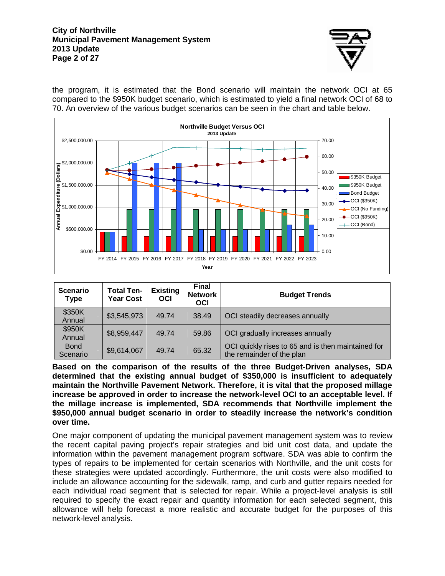#### **City of Northville Municipal Pavement Management System 2013 Update Page 2 of 27**



the program, it is estimated that the Bond scenario will maintain the network OCI at 65 compared to the \$950K budget scenario, which is estimated to yield a final network OCI of 68 to 70. An overview of the various budget scenarios can be seen in the chart and table below.



| <b>Scenario</b><br><b>Type</b> | <b>Total Ten-</b><br><b>Year Cost</b> | <b>Existing</b><br><b>OCI</b> | <b>Final</b><br><b>Network</b><br><b>OCI</b> | <b>Budget Trends</b>                                                            |
|--------------------------------|---------------------------------------|-------------------------------|----------------------------------------------|---------------------------------------------------------------------------------|
| \$350K<br>Annual               | \$3,545,973                           | 49.74                         | 38.49                                        | OCI steadily decreases annually                                                 |
| \$950K<br>Annual               | \$8,959,447                           | 49.74                         | 59.86                                        | OCI gradually increases annually                                                |
| <b>Bond</b><br>Scenario        | \$9,614,067                           | 49.74                         | 65.32                                        | OCI quickly rises to 65 and is then maintained for<br>the remainder of the plan |

**Based on the comparison of the results of the three Budget-Driven analyses, SDA determined that the existing annual budget of \$350,000 is insufficient to adequately maintain the Northville Pavement Network. Therefore, it is vital that the proposed millage increase be approved in order to increase the network-level OCI to an acceptable level. If the millage increase is implemented, SDA recommends that Northville implement the \$950,000 annual budget scenario in order to steadily increase the network's condition over time.**

One major component of updating the municipal pavement management system was to review the recent capital paving project's repair strategies and bid unit cost data, and update the information within the pavement management program software. SDA was able to confirm the types of repairs to be implemented for certain scenarios with Northville, and the unit costs for these strategies were updated accordingly. Furthermore, the unit costs were also modified to include an allowance accounting for the sidewalk, ramp, and curb and gutter repairs needed for each individual road segment that is selected for repair. While a project-level analysis is still required to specify the exact repair and quantity information for each selected segment, this allowance will help forecast a more realistic and accurate budget for the purposes of this network-level analysis.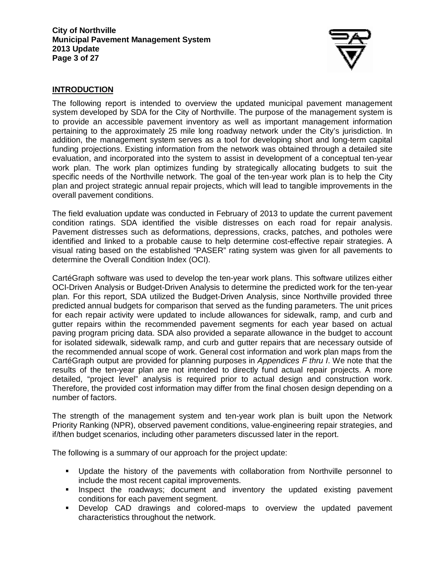

# **INTRODUCTION**

The following report is intended to overview the updated municipal pavement management system developed by SDA for the City of Northville. The purpose of the management system is to provide an accessible pavement inventory as well as important management information pertaining to the approximately 25 mile long roadway network under the City's jurisdiction. In addition, the management system serves as a tool for developing short and long-term capital funding projections. Existing information from the network was obtained through a detailed site evaluation, and incorporated into the system to assist in development of a conceptual ten-year work plan. The work plan optimizes funding by strategically allocating budgets to suit the specific needs of the Northville network. The goal of the ten-year work plan is to help the City plan and project strategic annual repair projects, which will lead to tangible improvements in the overall pavement conditions.

The field evaluation update was conducted in February of 2013 to update the current pavement condition ratings. SDA identified the visible distresses on each road for repair analysis. Pavement distresses such as deformations, depressions, cracks, patches, and potholes were identified and linked to a probable cause to help determine cost-effective repair strategies. A visual rating based on the established "PASER" rating system was given for all pavements to determine the Overall Condition Index (OCI).

CartéGraph software was used to develop the ten-year work plans. This software utilizes either OCI-Driven Analysis or Budget-Driven Analysis to determine the predicted work for the ten-year plan. For this report, SDA utilized the Budget-Driven Analysis, since Northville provided three predicted annual budgets for comparison that served as the funding parameters. The unit prices for each repair activity were updated to include allowances for sidewalk, ramp, and curb and gutter repairs within the recommended pavement segments for each year based on actual paving program pricing data. SDA also provided a separate allowance in the budget to account for isolated sidewalk, sidewalk ramp, and curb and gutter repairs that are necessary outside of the recommended annual scope of work. General cost information and work plan maps from the CartéGraph output are provided for planning purposes in Appendices F thru I. We note that the results of the ten-year plan are not intended to directly fund actual repair projects. A more detailed, "project level" analysis is required prior to actual design and construction work. Therefore, the provided cost information may differ from the final chosen design depending on a number of factors.

The strength of the management system and ten-year work plan is built upon the Network Priority Ranking (NPR), observed pavement conditions, value-engineering repair strategies, and if/then budget scenarios, including other parameters discussed later in the report.

The following is a summary of our approach for the project update:

- Update the history of the pavements with collaboration from Northville personnel to include the most recent capital improvements.
- **Inspect the roadways; document and inventory the updated existing pavement** conditions for each pavement segment.
- Develop CAD drawings and colored-maps to overview the updated pavement characteristics throughout the network.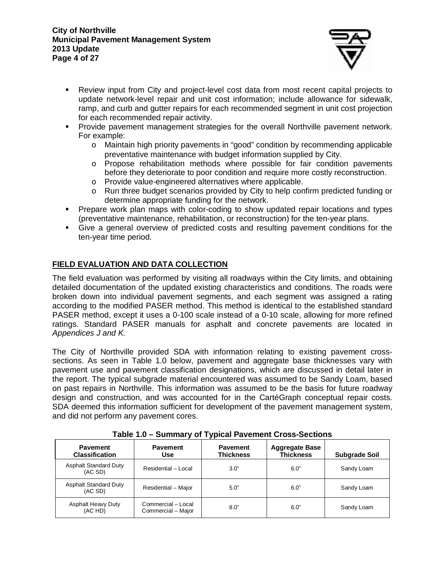#### **City of Northville Municipal Pavement Management System 2013 Update Page 4 of 27**



- Review input from City and project-level cost data from most recent capital projects to update network-level repair and unit cost information; include allowance for sidewalk, ramp, and curb and gutter repairs for each recommended segment in unit cost projection for each recommended repair activity.
- Provide pavement management strategies for the overall Northville pavement network. For example:
	- o Maintain high priority pavements in "good" condition by recommending applicable preventative maintenance with budget information supplied by City.
	- o Propose rehabilitation methods where possible for fair condition pavements before they deteriorate to poor condition and require more costly reconstruction.
	- o Provide value-engineered alternatives where applicable.
	- o Run three budget scenarios provided by City to help confirm predicted funding or determine appropriate funding for the network.
- Prepare work plan maps with color-coding to show updated repair locations and types (preventative maintenance, rehabilitation, or reconstruction) for the ten-year plans.
- Give a general overview of predicted costs and resulting pavement conditions for the ten-year time period.

# **FIELD EVALUATION AND DATA COLLECTION**

The field evaluation was performed by visiting all roadways within the City limits, and obtaining detailed documentation of the updated existing characteristics and conditions. The roads were broken down into individual pavement segments, and each segment was assigned a rating according to the modified PASER method. This method is identical to the established standard PASER method, except it uses a 0-100 scale instead of a 0-10 scale, allowing for more refined ratings. Standard PASER manuals for asphalt and concrete pavements are located in Appendices J and K.

The City of Northville provided SDA with information relating to existing pavement crosssections. As seen in Table 1.0 below, pavement and aggregate base thicknesses vary with pavement use and pavement classification designations, which are discussed in detail later in the report. The typical subgrade material encountered was assumed to be Sandy Loam, based on past repairs in Northville. This information was assumed to be the basis for future roadway design and construction, and was accounted for in the CartéGraph conceptual repair costs. SDA deemed this information sufficient for development of the pavement management system, and did not perform any pavement cores.

| .<br><b>UMINIMITY OF TYPICAL LATONICIII, OTOOO OCONOMO</b> |                                          |                                     |                                           |                      |
|------------------------------------------------------------|------------------------------------------|-------------------------------------|-------------------------------------------|----------------------|
| <b>Pavement</b><br><b>Classification</b>                   | <b>Pavement</b><br>Use                   | <b>Pavement</b><br><b>Thickness</b> | <b>Aggregate Base</b><br><b>Thickness</b> | <b>Subgrade Soil</b> |
| <b>Asphalt Standard Duty</b><br>(AC SD)                    | Residential - Local                      | 3.0"                                | 6.0"                                      | Sandy Loam           |
| <b>Asphalt Standard Duty</b><br>(AC SD)                    | Residential - Major                      | 5.0"                                | 6.0"                                      | Sandy Loam           |
| <b>Asphalt Heavy Duty</b><br>(AC HD)                       | Commercial - Local<br>Commercial - Major | 8.0"                                | 6.0"                                      | Sandy Loam           |

**Table 1.0 – Summary of Typical Pavement Cross-Sections**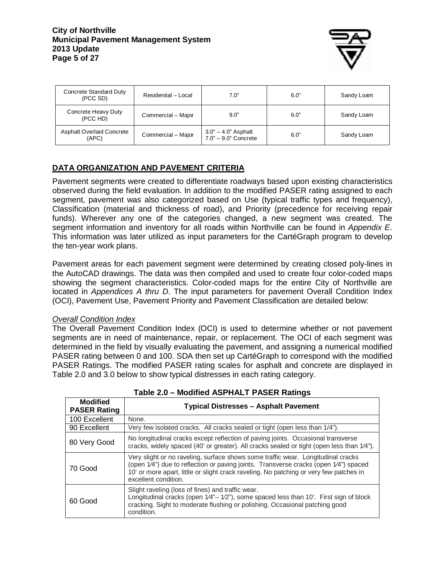

| Concrete Standard Duty<br>(PCC SD)        | Residential - Local | 7.0"                                          | 6.0" | Sandy Loam |
|-------------------------------------------|---------------------|-----------------------------------------------|------|------------|
| Concrete Heavy Duty<br>(PCC HD)           | Commercial - Major  | 9.0"                                          | 6.0" | Sandy Loam |
| <b>Asphalt Overlaid Concrete</b><br>(APC) | Commercial - Major  | 3.0" - 4.0" Asphalt<br>$7.0" - 9.0"$ Concrete | 6.0" | Sandy Loam |

# **DATA ORGANIZATION AND PAVEMENT CRITERIA**

Pavement segments were created to differentiate roadways based upon existing characteristics observed during the field evaluation. In addition to the modified PASER rating assigned to each segment, pavement was also categorized based on Use (typical traffic types and frequency), Classification (material and thickness of road), and Priority (precedence for receiving repair funds). Wherever any one of the categories changed, a new segment was created. The segment information and inventory for all roads within Northville can be found in Appendix E. This information was later utilized as input parameters for the CartéGraph program to develop the ten-year work plans.

Pavement areas for each pavement segment were determined by creating closed poly-lines in the AutoCAD drawings. The data was then compiled and used to create four color-coded maps showing the segment characteristics. Color-coded maps for the entire City of Northville are located in Appendices A thru D. The input parameters for pavement Overall Condition Index (OCI), Pavement Use, Pavement Priority and Pavement Classification are detailed below:

### Overall Condition Index

The Overall Pavement Condition Index (OCI) is used to determine whether or not pavement segments are in need of maintenance, repair, or replacement. The OCI of each segment was determined in the field by visually evaluating the pavement, and assigning a numerical modified PASER rating between 0 and 100. SDA then set up CartéGraph to correspond with the modified PASER Ratings. The modified PASER rating scales for asphalt and concrete are displayed in Table 2.0 and 3.0 below to show typical distresses in each rating category.

| <b>Modified</b><br><b>PASER Rating</b> | <b>Typical Distresses - Asphalt Pavement</b>                                                                                                                                                                                                                                               |
|----------------------------------------|--------------------------------------------------------------------------------------------------------------------------------------------------------------------------------------------------------------------------------------------------------------------------------------------|
| 100 Excellent                          | None.                                                                                                                                                                                                                                                                                      |
| 90 Excellent                           | Very few isolated cracks. All cracks sealed or tight (open less than 1/4").                                                                                                                                                                                                                |
| 80 Very Good                           | No longitudinal cracks except reflection of paving joints. Occasional transverse<br>cracks, widely spaced (40' or greater). All cracks sealed or tight (open less than 1/4").                                                                                                              |
| 70 Good                                | Very slight or no raveling, surface shows some traffic wear. Longitudinal cracks<br>(open 1/4") due to reflection or paving joints. Transverse cracks (open 1/4") spaced<br>10' or more apart, little or slight crack raveling. No patching or very few patches in<br>excellent condition. |
| 60 Good                                | Slight raveling (loss of fines) and traffic wear.<br>Longitudinal cracks (open 1/4"-1/2"), some spaced less than 10'. First sign of block<br>cracking. Sight to moderate flushing or polishing. Occasional patching good<br>condition.                                                     |

### **Table 2.0 – Modified ASPHALT PASER Ratings**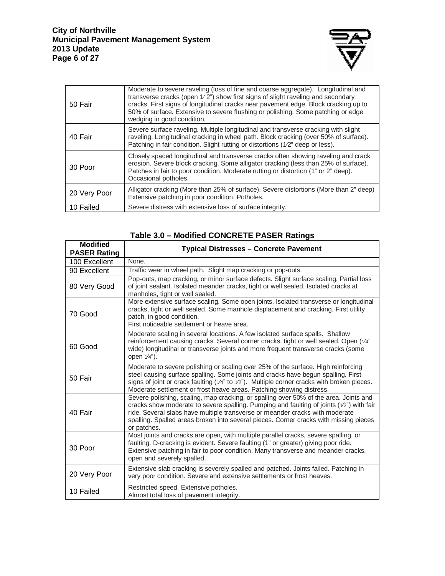

| 50 Fair      | Moderate to severe raveling (loss of fine and coarse aggregate). Longitudinal and<br>transverse cracks (open 1/2") show first signs of slight raveling and secondary<br>cracks. First signs of longitudinal cracks near pavement edge. Block cracking up to<br>50% of surface. Extensive to severe flushing or polishing. Some patching or edge<br>wedging in good condition. |
|--------------|-------------------------------------------------------------------------------------------------------------------------------------------------------------------------------------------------------------------------------------------------------------------------------------------------------------------------------------------------------------------------------|
| 40 Fair      | Severe surface raveling. Multiple longitudinal and transverse cracking with slight<br>raveling. Longitudinal cracking in wheel path. Block cracking (over 50% of surface).<br>Patching in fair condition. Slight rutting or distortions (1/2" deep or less).                                                                                                                  |
| 30 Poor      | Closely spaced longitudinal and transverse cracks often showing raveling and crack<br>erosion. Severe block cracking. Some alligator cracking (less than 25% of surface).<br>Patches in fair to poor condition. Moderate rutting or distortion (1" or 2" deep).<br>Occasional potholes.                                                                                       |
| 20 Very Poor | Alligator cracking (More than 25% of surface). Severe distortions (More than 2" deep)<br>Extensive patching in poor condition. Potholes.                                                                                                                                                                                                                                      |
| 10 Failed    | Severe distress with extensive loss of surface integrity.                                                                                                                                                                                                                                                                                                                     |

| <b>Modified</b><br><b>PASER Rating</b> | <b>Typical Distresses - Concrete Pavement</b>                                                                                                                                                                                                                                                                                                                                   |
|----------------------------------------|---------------------------------------------------------------------------------------------------------------------------------------------------------------------------------------------------------------------------------------------------------------------------------------------------------------------------------------------------------------------------------|
| 100 Excellent                          | None.                                                                                                                                                                                                                                                                                                                                                                           |
| 90 Excellent                           | Traffic wear in wheel path. Slight map cracking or pop-outs.                                                                                                                                                                                                                                                                                                                    |
| 80 Very Good                           | Pop-outs, map cracking, or minor surface defects. Slight surface scaling. Partial loss<br>of joint sealant. Isolated meander cracks, tight or well sealed. Isolated cracks at<br>manholes, tight or well sealed.                                                                                                                                                                |
| 70 Good                                | More extensive surface scaling. Some open joints. Isolated transverse or longitudinal<br>cracks, tight or well sealed. Some manhole displacement and cracking. First utility<br>patch, in good condition.<br>First noticeable settlement or heave area.                                                                                                                         |
| 60 Good                                | Moderate scaling in several locations. A few isolated surface spalls. Shallow<br>reinforcement causing cracks. Several corner cracks, tight or well sealed. Open ( $v/4$ "<br>wide) longitudinal or transverse joints and more frequent transverse cracks (some<br>open $1/4$ ").                                                                                               |
| 50 Fair                                | Moderate to severe polishing or scaling over 25% of the surface. High reinforcing<br>steel causing surface spalling. Some joints and cracks have begun spalling. First<br>signs of joint or crack faulting ( $\sqrt{4}$ " to $\sqrt{2}$ "). Multiple corner cracks with broken pieces.<br>Moderate settlement or frost heave areas. Patching showing distress.                  |
| 40 Fair                                | Severe polishing, scaling, map cracking, or spalling over 50% of the area. Joints and<br>cracks show moderate to severe spalling. Pumping and faulting of joints $(\sqrt{2})$ with fair<br>ride. Several slabs have multiple transverse or meander cracks with moderate<br>spalling. Spalled areas broken into several pieces. Corner cracks with missing pieces<br>or patches. |
| 30 Poor                                | Most joints and cracks are open, with multiple parallel cracks, severe spalling, or<br>faulting. D-cracking is evident. Severe faulting (1" or greater) giving poor ride.<br>Extensive patching in fair to poor condition. Many transverse and meander cracks,<br>open and severely spalled.                                                                                    |
| 20 Very Poor                           | Extensive slab cracking is severely spalled and patched. Joints failed. Patching in<br>very poor condition. Severe and extensive settlements or frost heaves.                                                                                                                                                                                                                   |
| 10 Failed                              | Restricted speed. Extensive potholes.<br>Almost total loss of pavement integrity.                                                                                                                                                                                                                                                                                               |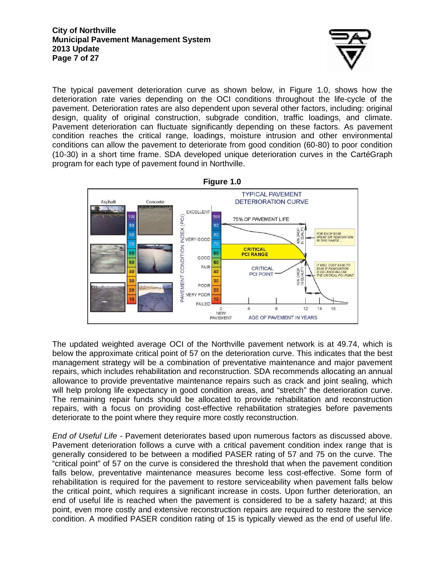

The typical pavement deterioration curve as shown below, in Figure 1.0, shows how the deterioration rate varies depending on the OCI conditions throughout the life-cycle of the pavement. Deterioration rates are also dependent upon several other factors, including: original design, quality of original construction, subgrade condition, traffic loadings, and climate. Pavement deterioration can fluctuate significantly depending on these factors. As pavement condition reaches the critical range, loadings, moisture intrusion and other environmental conditions can allow the pavement to deteriorate from good condition (60-80) to poor condition (10-30) in a short time frame. SDA developed unique deterioration curves in the CartéGraph program for each type of pavement found in Northville.



**Figure 1.0** 

The updated weighted average OCI of the Northville pavement network is at 49.74, which is below the approximate critical point of 57 on the deterioration curve. This indicates that the best management strategy will be a combination of preventative maintenance and major pavement repairs, which includes rehabilitation and reconstruction. SDA recommends allocating an annual allowance to provide preventative maintenance repairs such as crack and joint sealing, which will help prolong life expectancy in good condition areas, and "stretch" the deterioration curve. The remaining repair funds should be allocated to provide rehabilitation and reconstruction repairs, with a focus on providing cost-effective rehabilitation strategies before pavements deteriorate to the point where they require more costly reconstruction.

End of Useful Life - Pavement deteriorates based upon numerous factors as discussed above. Pavement deterioration follows a curve with a critical pavement condition index range that is generally considered to be between a modified PASER rating of 57 and 75 on the curve. The "critical point" of 57 on the curve is considered the threshold that when the pavement condition falls below, preventative maintenance measures become less cost-effective. Some form of rehabilitation is required for the pavement to restore serviceability when pavement falls below the critical point, which requires a significant increase in costs. Upon further deterioration, an end of useful life is reached when the pavement is considered to be a safety hazard; at this point, even more costly and extensive reconstruction repairs are required to restore the service condition. A modified PASER condition rating of 15 is typically viewed as the end of useful life.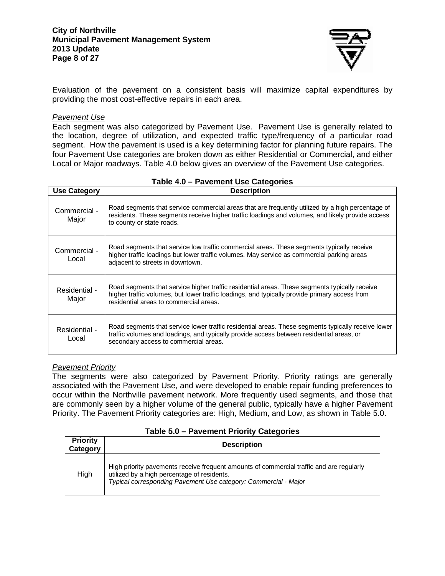

Evaluation of the pavement on a consistent basis will maximize capital expenditures by providing the most cost-effective repairs in each area.

#### Pavement Use

Each segment was also categorized by Pavement Use. Pavement Use is generally related to the location, degree of utilization, and expected traffic type/frequency of a particular road segment. How the pavement is used is a key determining factor for planning future repairs. The four Pavement Use categories are broken down as either Residential or Commercial, and either Local or Major roadways. Table 4.0 below gives an overview of the Pavement Use categories.

| <b>Use Category</b>    | <b>Description</b>                                                                                                                                                                                                                       |
|------------------------|------------------------------------------------------------------------------------------------------------------------------------------------------------------------------------------------------------------------------------------|
| Commercial -<br>Major  | Road segments that service commercial areas that are frequently utilized by a high percentage of<br>residents. These segments receive higher traffic loadings and volumes, and likely provide access<br>to county or state roads.        |
| Commercial -<br>Local  | Road segments that service low traffic commercial areas. These segments typically receive<br>higher traffic loadings but lower traffic volumes. May service as commercial parking areas<br>adjacent to streets in downtown.              |
| Residential -<br>Major | Road segments that service higher traffic residential areas. These segments typically receive<br>higher traffic volumes, but lower traffic loadings, and typically provide primary access from<br>residential areas to commercial areas. |
| Residential -<br>Local | Road segments that service lower traffic residential areas. These segments typically receive lower<br>traffic volumes and loadings, and typically provide access between residential areas, or<br>secondary access to commercial areas.  |

#### **Table 4.0 – Pavement Use Categories**

#### Pavement Priority

The segments were also categorized by Pavement Priority. Priority ratings are generally associated with the Pavement Use, and were developed to enable repair funding preferences to occur within the Northville pavement network. More frequently used segments, and those that are commonly seen by a higher volume of the general public, typically have a higher Pavement Priority. The Pavement Priority categories are: High, Medium, and Low, as shown in Table 5.0.

#### **Table 5.0 – Pavement Priority Categories**

| <b>Priority</b><br>Category | <b>Description</b>                                                                                                                                                                                         |
|-----------------------------|------------------------------------------------------------------------------------------------------------------------------------------------------------------------------------------------------------|
| High                        | High priority pavements receive frequent amounts of commercial traffic and are regularly<br>utilized by a high percentage of residents.<br>Typical corresponding Pavement Use category: Commercial - Major |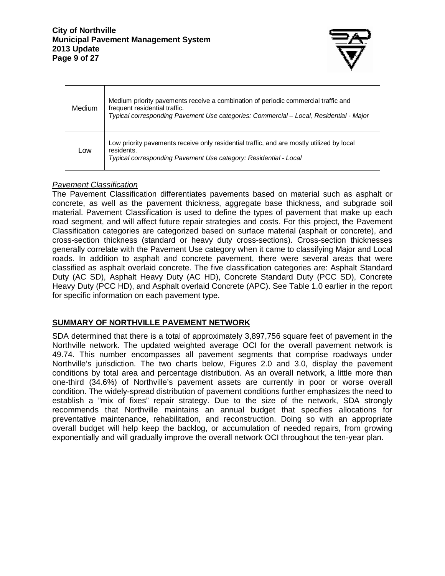

| <b>Medium</b> | Medium priority pavements receive a combination of periodic commercial traffic and<br>frequent residential traffic.<br>Typical corresponding Pavement Use categories: Commercial – Local, Residential - Major |
|---------------|---------------------------------------------------------------------------------------------------------------------------------------------------------------------------------------------------------------|
| Low           | Low priority pavements receive only residential traffic, and are mostly utilized by local<br>residents.<br>Typical corresponding Pavement Use category: Residential - Local                                   |

# Pavement Classification

The Pavement Classification differentiates pavements based on material such as asphalt or concrete, as well as the pavement thickness, aggregate base thickness, and subgrade soil material. Pavement Classification is used to define the types of pavement that make up each road segment, and will affect future repair strategies and costs. For this project, the Pavement Classification categories are categorized based on surface material (asphalt or concrete), and cross-section thickness (standard or heavy duty cross-sections). Cross-section thicknesses generally correlate with the Pavement Use category when it came to classifying Major and Local roads. In addition to asphalt and concrete pavement, there were several areas that were classified as asphalt overlaid concrete. The five classification categories are: Asphalt Standard Duty (AC SD), Asphalt Heavy Duty (AC HD), Concrete Standard Duty (PCC SD), Concrete Heavy Duty (PCC HD), and Asphalt overlaid Concrete (APC). See Table 1.0 earlier in the report for specific information on each pavement type.

# **SUMMARY OF NORTHVILLE PAVEMENT NETWORK**

SDA determined that there is a total of approximately 3,897,756 square feet of pavement in the Northville network. The updated weighted average OCI for the overall pavement network is 49.74. This number encompasses all pavement segments that comprise roadways under Northville's jurisdiction. The two charts below, Figures 2.0 and 3.0, display the pavement conditions by total area and percentage distribution. As an overall network, a little more than one-third (34.6%) of Northville's pavement assets are currently in poor or worse overall condition. The widely-spread distribution of pavement conditions further emphasizes the need to establish a "mix of fixes" repair strategy. Due to the size of the network, SDA strongly recommends that Northville maintains an annual budget that specifies allocations for preventative maintenance, rehabilitation, and reconstruction. Doing so with an appropriate overall budget will help keep the backlog, or accumulation of needed repairs, from growing exponentially and will gradually improve the overall network OCI throughout the ten-year plan.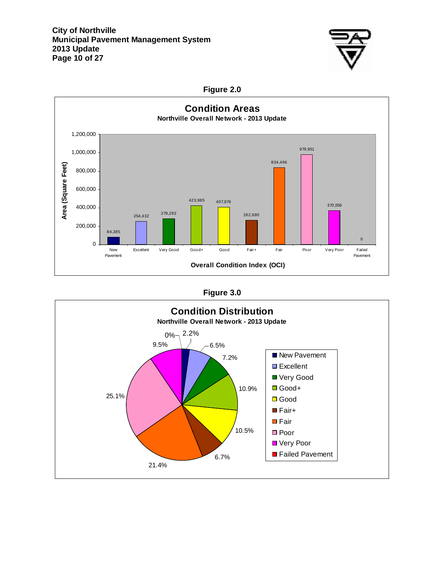

# **Figure 2.0**



**Figure 3.0** 

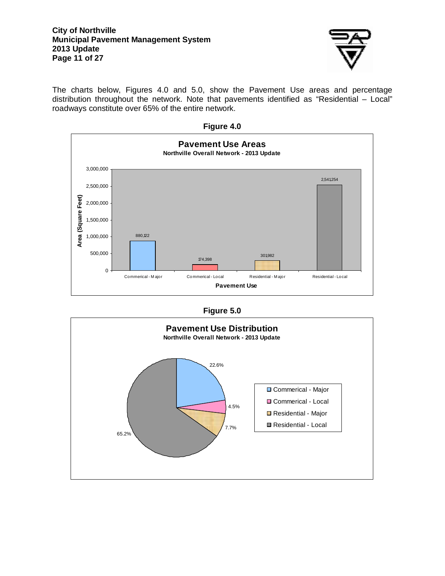#### **City of Northville Municipal Pavement Management System 2013 Update Page 11 of 27**



The charts below, Figures 4.0 and 5.0, show the Pavement Use areas and percentage distribution throughout the network. Note that pavements identified as "Residential – Local" roadways constitute over 65% of the entire network.

|  | Figure $4.0$ |
|--|--------------|
|  |              |



| <b>Figure 5.0</b> |  |
|-------------------|--|
|-------------------|--|

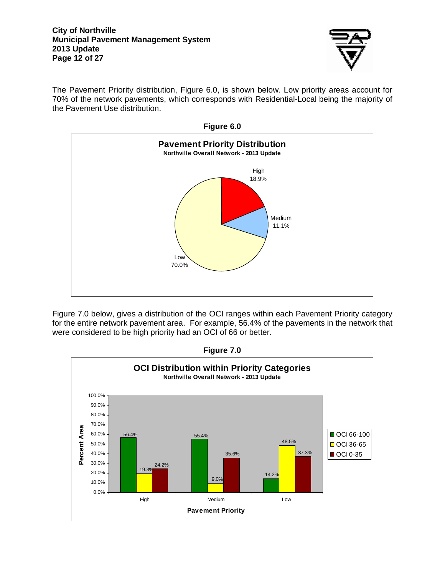#### **City of Northville Municipal Pavement Management System 2013 Update Page 12 of 27**



The Pavement Priority distribution, Figure 6.0, is shown below. Low priority areas account for 70% of the network pavements, which corresponds with Residential-Local being the majority of the Pavement Use distribution.



Figure 7.0 below, gives a distribution of the OCI ranges within each Pavement Priority category for the entire network pavement area. For example, 56.4% of the pavements in the network that were considered to be high priority had an OCI of 66 or better.



**Figure 7.0**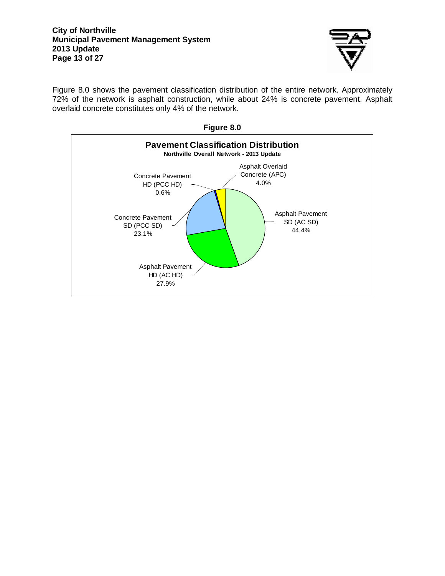

Figure 8.0 shows the pavement classification distribution of the entire network. Approximately 72% of the network is asphalt construction, while about 24% is concrete pavement. Asphalt overlaid concrete constitutes only 4% of the network.

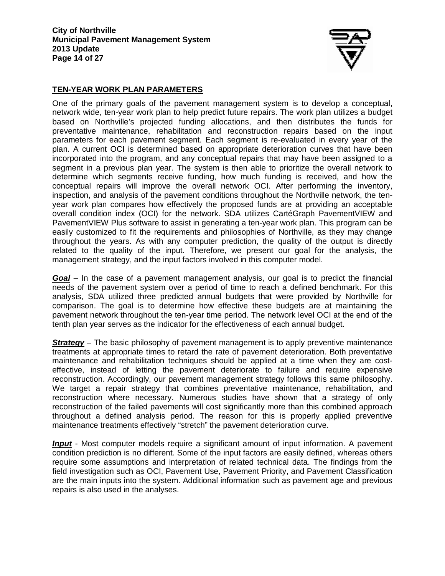

# **TEN-YEAR WORK PLAN PARAMETERS**

One of the primary goals of the pavement management system is to develop a conceptual, network wide, ten-year work plan to help predict future repairs. The work plan utilizes a budget based on Northville's projected funding allocations, and then distributes the funds for preventative maintenance, rehabilitation and reconstruction repairs based on the input parameters for each pavement segment. Each segment is re-evaluated in every year of the plan. A current OCI is determined based on appropriate deterioration curves that have been incorporated into the program, and any conceptual repairs that may have been assigned to a segment in a previous plan year. The system is then able to prioritize the overall network to determine which segments receive funding, how much funding is received, and how the conceptual repairs will improve the overall network OCI. After performing the inventory, inspection, and analysis of the pavement conditions throughout the Northville network, the tenyear work plan compares how effectively the proposed funds are at providing an acceptable overall condition index (OCI) for the network. SDA utilizes CartéGraph PavementVIEW and PavementVIEW Plus software to assist in generating a ten-year work plan. This program can be easily customized to fit the requirements and philosophies of Northville, as they may change throughout the years. As with any computer prediction, the quality of the output is directly related to the quality of the input. Therefore, we present our goal for the analysis, the management strategy, and the input factors involved in this computer model.

**Goal** – In the case of a pavement management analysis, our goal is to predict the financial needs of the pavement system over a period of time to reach a defined benchmark. For this analysis, SDA utilized three predicted annual budgets that were provided by Northville for comparison. The goal is to determine how effective these budgets are at maintaining the pavement network throughout the ten-year time period. The network level OCI at the end of the tenth plan year serves as the indicator for the effectiveness of each annual budget.

**Strategy** – The basic philosophy of pavement management is to apply preventive maintenance treatments at appropriate times to retard the rate of pavement deterioration. Both preventative maintenance and rehabilitation techniques should be applied at a time when they are costeffective, instead of letting the pavement deteriorate to failure and require expensive reconstruction. Accordingly, our pavement management strategy follows this same philosophy. We target a repair strategy that combines preventative maintenance, rehabilitation, and reconstruction where necessary. Numerous studies have shown that a strategy of only reconstruction of the failed pavements will cost significantly more than this combined approach throughout a defined analysis period. The reason for this is properly applied preventive maintenance treatments effectively "stretch" the pavement deterioration curve.

**Input** - Most computer models require a significant amount of input information. A pavement condition prediction is no different. Some of the input factors are easily defined, whereas others require some assumptions and interpretation of related technical data. The findings from the field investigation such as OCI, Pavement Use, Pavement Priority, and Pavement Classification are the main inputs into the system. Additional information such as pavement age and previous repairs is also used in the analyses.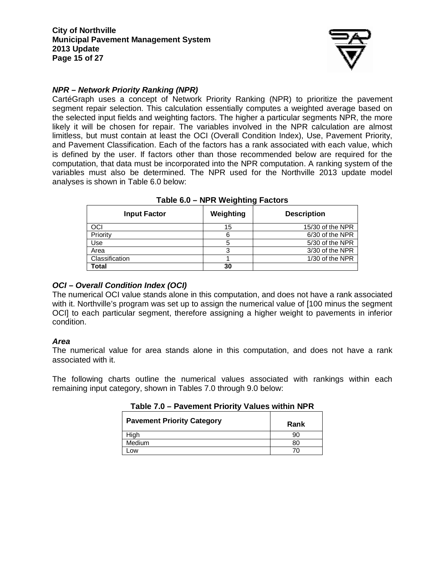

# **NPR – Network Priority Ranking (NPR)**

CartéGraph uses a concept of Network Priority Ranking (NPR) to prioritize the pavement segment repair selection. This calculation essentially computes a weighted average based on the selected input fields and weighting factors. The higher a particular segments NPR, the more likely it will be chosen for repair. The variables involved in the NPR calculation are almost limitless, but must contain at least the OCI (Overall Condition Index), Use, Pavement Priority, and Pavement Classification. Each of the factors has a rank associated with each value, which is defined by the user. If factors other than those recommended below are required for the computation, that data must be incorporated into the NPR computation. A ranking system of the variables must also be determined. The NPR used for the Northville 2013 update model analyses is shown in Table 6.0 below:

| <b>Input Factor</b> | Weighting | <b>Description</b> |
|---------------------|-----------|--------------------|
| OCI                 | 15        | 15/30 of the NPR   |
| Priority            |           | 6/30 of the NPR    |
| Use                 |           | 5/30 of the NPR    |
| Area                | ◠         | 3/30 of the NPR    |
| Classification      |           | 1/30 of the NPR    |
| Total               | 30        |                    |

### **Table 6.0 – NPR Weighting Factors**

# **OCI – Overall Condition Index (OCI)**

The numerical OCI value stands alone in this computation, and does not have a rank associated with it. Northville's program was set up to assign the numerical value of [100 minus the segment OCI] to each particular segment, therefore assigning a higher weight to pavements in inferior condition.

### **Area**

The numerical value for area stands alone in this computation, and does not have a rank associated with it.

The following charts outline the numerical values associated with rankings within each remaining input category, shown in Tables 7.0 through 9.0 below:

| <b>Pavement Priority Category</b> | Rank |
|-----------------------------------|------|
| Hiah                              | 90   |
| <b>Medium</b>                     |      |
| .OW                               |      |

**Table 7.0 – Pavement Priority Values within NPR**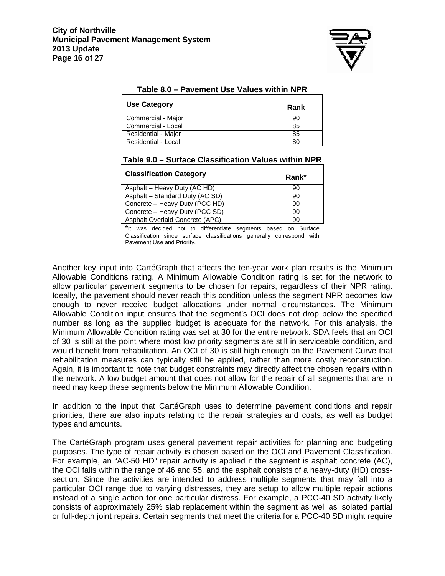

| Taple 6.0 – Favement OSE Values Within NFR |      |  |  |
|--------------------------------------------|------|--|--|
| <b>Use Category</b>                        | Rank |  |  |
| Commercial - Major                         | 90   |  |  |
| Commercial - Local                         | 85   |  |  |
| Residential - Major                        | 85   |  |  |
| Residential - Local                        | 80   |  |  |

| Table 8.0 – Pavement Use Values within NPR |  |  |
|--------------------------------------------|--|--|
|--------------------------------------------|--|--|

| Table 9.0 – Surface Classification Values within NPR |
|------------------------------------------------------|
|------------------------------------------------------|

| <b>Classification Category</b>  | Rank* |
|---------------------------------|-------|
| Asphalt - Heavy Duty (AC HD)    | 90    |
| Asphalt - Standard Duty (AC SD) | 90    |
| Concrete - Heavy Duty (PCC HD)  | 90    |
| Concrete - Heavy Duty (PCC SD)  | 90    |
| Asphalt Overlaid Concrete (APC) | 90    |

\*It was decided not to differentiate segments based on Surface Classification since surface classifications generally correspond with Pavement Use and Priority.

Another key input into CartéGraph that affects the ten-year work plan results is the Minimum Allowable Conditions rating. A Minimum Allowable Condition rating is set for the network to allow particular pavement segments to be chosen for repairs, regardless of their NPR rating. Ideally, the pavement should never reach this condition unless the segment NPR becomes low enough to never receive budget allocations under normal circumstances. The Minimum Allowable Condition input ensures that the segment's OCI does not drop below the specified number as long as the supplied budget is adequate for the network. For this analysis, the Minimum Allowable Condition rating was set at 30 for the entire network. SDA feels that an OCI of 30 is still at the point where most low priority segments are still in serviceable condition, and would benefit from rehabilitation. An OCI of 30 is still high enough on the Pavement Curve that rehabilitation measures can typically still be applied, rather than more costly reconstruction. Again, it is important to note that budget constraints may directly affect the chosen repairs within the network. A low budget amount that does not allow for the repair of all segments that are in need may keep these segments below the Minimum Allowable Condition.

In addition to the input that CartéGraph uses to determine pavement conditions and repair priorities, there are also inputs relating to the repair strategies and costs, as well as budget types and amounts.

The CartéGraph program uses general pavement repair activities for planning and budgeting purposes. The type of repair activity is chosen based on the OCI and Pavement Classification. For example, an "AC-50 HD" repair activity is applied if the segment is asphalt concrete (AC), the OCI falls within the range of 46 and 55, and the asphalt consists of a heavy-duty (HD) crosssection. Since the activities are intended to address multiple segments that may fall into a particular OCI range due to varying distresses, they are setup to allow multiple repair actions instead of a single action for one particular distress. For example, a PCC-40 SD activity likely consists of approximately 25% slab replacement within the segment as well as isolated partial or full-depth joint repairs. Certain segments that meet the criteria for a PCC-40 SD might require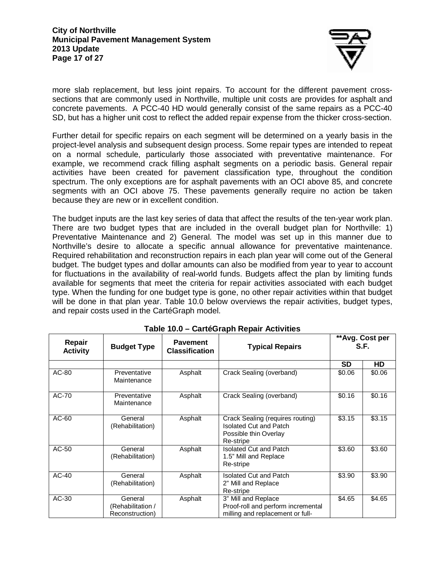

more slab replacement, but less joint repairs. To account for the different pavement crosssections that are commonly used in Northville, multiple unit costs are provides for asphalt and concrete pavements. A PCC-40 HD would generally consist of the same repairs as a PCC-40 SD, but has a higher unit cost to reflect the added repair expense from the thicker cross-section.

Further detail for specific repairs on each segment will be determined on a yearly basis in the project-level analysis and subsequent design process. Some repair types are intended to repeat on a normal schedule, particularly those associated with preventative maintenance. For example, we recommend crack filling asphalt segments on a periodic basis. General repair activities have been created for pavement classification type, throughout the condition spectrum. The only exceptions are for asphalt pavements with an OCI above 85, and concrete segments with an OCI above 75. These pavements generally require no action be taken because they are new or in excellent condition.

The budget inputs are the last key series of data that affect the results of the ten-year work plan. There are two budget types that are included in the overall budget plan for Northville: 1) Preventative Maintenance and 2) General. The model was set up in this manner due to Northville's desire to allocate a specific annual allowance for preventative maintenance. Required rehabilitation and reconstruction repairs in each plan year will come out of the General budget. The budget types and dollar amounts can also be modified from year to year to account for fluctuations in the availability of real-world funds. Budgets affect the plan by limiting funds available for segments that meet the criteria for repair activities associated with each budget type. When the funding for one budget type is gone, no other repair activities within that budget will be done in that plan year. Table 10.0 below overviews the repair activities, budget types, and repair costs used in the CartéGraph model.

| Repair<br><b>Activity</b> | <b>Budget Type</b>                              | <b>Pavement</b><br><b>Classification</b> | <b>Typical Repairs</b>                                                                                  |        | ** Avg. Cost per<br>S.F. |
|---------------------------|-------------------------------------------------|------------------------------------------|---------------------------------------------------------------------------------------------------------|--------|--------------------------|
|                           |                                                 |                                          |                                                                                                         | SD     | HD.                      |
| AC-80                     | Preventative<br>Maintenance                     | Asphalt                                  | Crack Sealing (overband)                                                                                | \$0.06 | \$0.06                   |
| AC-70                     | Preventative<br>Maintenance                     | Asphalt                                  | Crack Sealing (overband)                                                                                | \$0.16 | \$0.16                   |
| AC-60                     | General<br>(Rehabilitation)                     | Asphalt                                  | Crack Sealing (requires routing)<br><b>Isolated Cut and Patch</b><br>Possible thin Overlay<br>Re-stripe | \$3.15 | \$3.15                   |
| AC-50                     | General<br>(Rehabilitation)                     | Asphalt                                  | <b>Isolated Cut and Patch</b><br>1.5" Mill and Replace<br>Re-stripe                                     | \$3.60 | \$3.60                   |
| AC-40                     | General<br>(Rehabilitation)                     | Asphalt                                  | <b>Isolated Cut and Patch</b><br>2" Mill and Replace<br>Re-stripe                                       | \$3.90 | \$3.90                   |
| AC-30                     | General<br>(Rehabilitation /<br>Reconstruction) | Asphalt                                  | 3" Mill and Replace<br>Proof-roll and perform incremental<br>milling and replacement or full-           | \$4.65 | \$4.65                   |

|  | Table 10.0 – CartéGraph Repair Activities |  |  |
|--|-------------------------------------------|--|--|
|--|-------------------------------------------|--|--|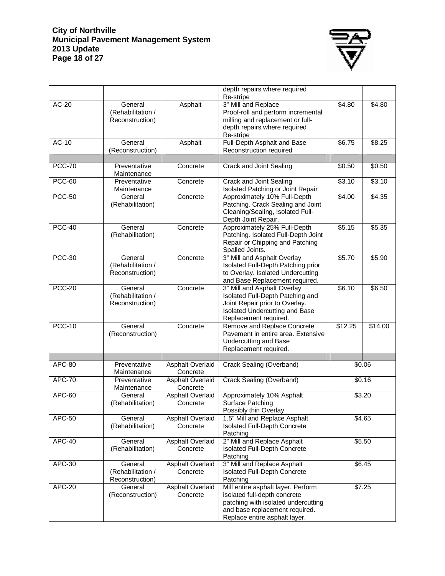#### **City of Northville Municipal Pavement Management System 2013 Update Page 18 of 27**



|               |                                                 |                                     | depth repairs where required<br>Re-stripe                                                                                                                                    |         |         |
|---------------|-------------------------------------------------|-------------------------------------|------------------------------------------------------------------------------------------------------------------------------------------------------------------------------|---------|---------|
| $AC-20$       | General<br>(Rehabilitation /<br>Reconstruction) | Asphalt                             | 3" Mill and Replace<br>Proof-roll and perform incremental<br>milling and replacement or full-<br>depth repairs where required<br>Re-stripe                                   | \$4.80  | \$4.80  |
| $AC-10$       | General<br>(Reconstruction)                     | Asphalt                             | Full-Depth Asphalt and Base<br>Reconstruction required                                                                                                                       | \$6.75  | \$8.25  |
| <b>PCC-70</b> | Preventative<br>Maintenance                     | Concrete                            | Crack and Joint Sealing                                                                                                                                                      | \$0.50  | \$0.50  |
| <b>PCC-60</b> | Preventative<br>Maintenance                     | Concrete                            | <b>Crack and Joint Sealing</b><br>Isolated Patching or Joint Repair                                                                                                          | \$3.10  | \$3.10  |
| <b>PCC-50</b> | General<br>(Rehabilitation)                     | Concrete                            | Approximately 10% Full-Depth<br>Patching. Crack Sealing and Joint<br>Cleaning/Sealing, Isolated Full-<br>Depth Joint Repair.                                                 | \$4.00  | \$4.35  |
| <b>PCC-40</b> | General<br>(Rehabilitation)                     | Concrete                            | Approximately 25% Full-Depth<br>Patching. Isolated Full-Depth Joint<br>Repair or Chipping and Patching<br>Spalled Joints.                                                    | \$5.15  | \$5.35  |
| <b>PCC-30</b> | General<br>(Rehabilitation /<br>Reconstruction) | Concrete                            | 3" Mill and Asphalt Overlay<br>Isolated Full-Depth Patching prior<br>to Overlay. Isolated Undercutting<br>and Base Replacement required.                                     | \$5.70  | \$5.90  |
| <b>PCC-20</b> | General<br>(Rehabilitation /<br>Reconstruction) | Concrete                            | 3" Mill and Asphalt Overlay<br>Isolated Full-Depth Patching and<br>Joint Repair prior to Overlay.<br>Isolated Undercutting and Base<br>Replacement required.                 | \$6.10  | \$6.50  |
| <b>PCC-10</b> | General<br>(Reconstruction)                     | Concrete                            | Remove and Replace Concrete<br>Pavement in entire area. Extensive<br>Undercutting and Base<br>Replacement required.                                                          | \$12.25 | \$14.00 |
| <b>APC-80</b> | Preventative<br>Maintenance                     | <b>Asphalt Overlaid</b><br>Concrete | Crack Sealing (Overband)                                                                                                                                                     |         | \$0.06  |
| <b>APC-70</b> | Preventative<br>Maintenance                     | <b>Asphalt Overlaid</b><br>Concrete | <b>Crack Sealing (Overband)</b>                                                                                                                                              |         | \$0.16  |
| APC-60        | General<br>(Rehabilitation)                     | <b>Asphalt Overlaid</b><br>Concrete | Approximately 10% Asphalt<br>Surface Patching<br>Possibly thin Overlay                                                                                                       | \$3.20  |         |
| APC-50        | General<br>(Rehabilitation)                     | Asphalt Overlaid<br>Concrete        | 1.5" Mill and Replace Asphalt<br>Isolated Full-Depth Concrete<br>Patching                                                                                                    | \$4.65  |         |
| APC-40        | General<br>(Rehabilitation)                     | Asphalt Overlaid<br>Concrete        | 2" Mill and Replace Asphalt<br>Isolated Full-Depth Concrete<br>Patching                                                                                                      | \$5.50  |         |
| <b>APC-30</b> | General<br>(Rehabilitation /<br>Reconstruction) | Asphalt Overlaid<br>Concrete        | 3" Mill and Replace Asphalt<br>Isolated Full-Depth Concrete<br>Patching                                                                                                      | \$6.45  |         |
| <b>APC-20</b> | General<br>(Reconstruction)                     | <b>Asphalt Overlaid</b><br>Concrete | Mill entire asphalt layer. Perform<br>isolated full-depth concrete<br>patching with isolated undercutting<br>and base replacement required.<br>Replace entire asphalt layer. |         | \$7.25  |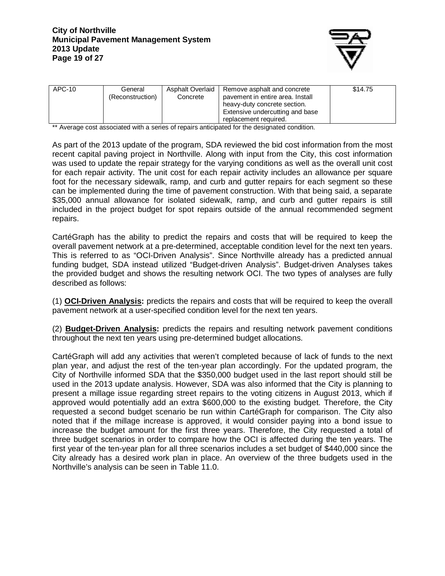

| APC-10 | General<br>(Reconstruction) | Asphalt Overlaid<br>Concrete | Remove asphalt and concrete<br>pavement in entire area. Install<br>heavy-duty concrete section.<br>Extensive undercutting and base<br>replacement required. | \$14.75 |
|--------|-----------------------------|------------------------------|-------------------------------------------------------------------------------------------------------------------------------------------------------------|---------|
|--------|-----------------------------|------------------------------|-------------------------------------------------------------------------------------------------------------------------------------------------------------|---------|

\*\* Average cost associated with a series of repairs anticipated for the designated condition.

As part of the 2013 update of the program, SDA reviewed the bid cost information from the most recent capital paving project in Northville. Along with input from the City, this cost information was used to update the repair strategy for the varying conditions as well as the overall unit cost for each repair activity. The unit cost for each repair activity includes an allowance per square foot for the necessary sidewalk, ramp, and curb and gutter repairs for each segment so these can be implemented during the time of pavement construction. With that being said, a separate \$35,000 annual allowance for isolated sidewalk, ramp, and curb and gutter repairs is still included in the project budget for spot repairs outside of the annual recommended segment repairs.

CartéGraph has the ability to predict the repairs and costs that will be required to keep the overall pavement network at a pre-determined, acceptable condition level for the next ten years. This is referred to as "OCI-Driven Analysis". Since Northville already has a predicted annual funding budget, SDA instead utilized "Budget-driven Analysis". Budget-driven Analyses takes the provided budget and shows the resulting network OCI. The two types of analyses are fully described as follows:

(1) **OCI-Driven Analysis:** predicts the repairs and costs that will be required to keep the overall pavement network at a user-specified condition level for the next ten years.

(2) **Budget-Driven Analysis:** predicts the repairs and resulting network pavement conditions throughout the next ten years using pre-determined budget allocations.

CartéGraph will add any activities that weren't completed because of lack of funds to the next plan year, and adjust the rest of the ten-year plan accordingly. For the updated program, the City of Northville informed SDA that the \$350,000 budget used in the last report should still be used in the 2013 update analysis. However, SDA was also informed that the City is planning to present a millage issue regarding street repairs to the voting citizens in August 2013, which if approved would potentially add an extra \$600,000 to the existing budget. Therefore, the City requested a second budget scenario be run within CartéGraph for comparison. The City also noted that if the millage increase is approved, it would consider paying into a bond issue to increase the budget amount for the first three years. Therefore, the City requested a total of three budget scenarios in order to compare how the OCI is affected during the ten years. The first year of the ten-year plan for all three scenarios includes a set budget of \$440,000 since the City already has a desired work plan in place. An overview of the three budgets used in the Northville's analysis can be seen in Table 11.0.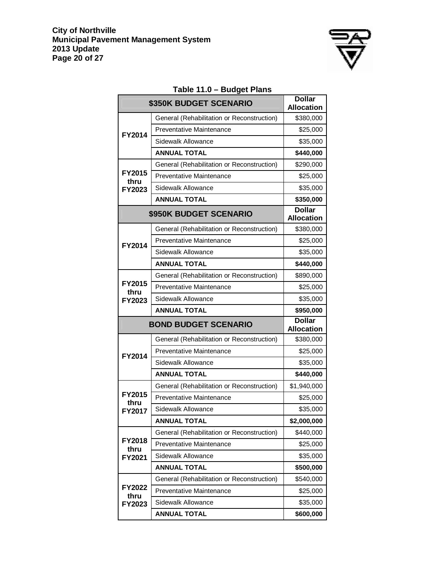

|                             | \$350K BUDGET SCENARIO                     | <b>Dollar</b><br><b>Allocation</b> |
|-----------------------------|--------------------------------------------|------------------------------------|
|                             | General (Rehabilitation or Reconstruction) | \$380,000                          |
| FY2014                      | Preventative Maintenance                   | \$25,000                           |
|                             | Sidewalk Allowance                         | \$35,000                           |
|                             | <b>ANNUAL TOTAL</b>                        | \$440,000                          |
|                             | General (Rehabilitation or Reconstruction) | \$290,000                          |
| FY2015<br>thru              | <b>Preventative Maintenance</b>            | \$25,000                           |
| FY2023                      | Sidewalk Allowance                         | \$35,000                           |
|                             | <b>ANNUAL TOTAL</b>                        | \$350,000                          |
| \$950K BUDGET SCENARIO      | <b>Dollar</b><br><b>Allocation</b>         |                                    |
|                             | General (Rehabilitation or Reconstruction) | \$380,000                          |
| <b>FY2014</b>               | <b>Preventative Maintenance</b>            | \$25,000                           |
|                             | Sidewalk Allowance                         | \$35,000                           |
|                             | <b>ANNUAL TOTAL</b>                        | \$440,000                          |
|                             | General (Rehabilitation or Reconstruction) | \$890,000                          |
| FY2015<br>thru              | <b>Preventative Maintenance</b>            | \$25,000                           |
| FY2023                      | Sidewalk Allowance                         | \$35,000                           |
|                             | <b>ANNUAL TOTAL</b>                        | \$950,000                          |
| <b>BOND BUDGET SCENARIO</b> | <b>Dollar</b><br><b>Allocation</b>         |                                    |
|                             | General (Rehabilitation or Reconstruction) | \$380,000                          |
| <b>FY2014</b>               | <b>Preventative Maintenance</b>            | \$25,000                           |
|                             | Sidewalk Allowance                         | \$35,000                           |
|                             | <b>ANNUAL TOTAL</b>                        | \$440,000                          |
|                             | General (Rehabilitation or Reconstruction) | \$1,940,000                        |
| FY2015<br>thru              | <b>Preventative Maintenance</b>            | \$25,000                           |
| FY2017                      | Sidewalk Allowance                         | \$35,000                           |
|                             | <b>ANNUAL TOTAL</b>                        | \$2,000,000                        |
|                             | General (Rehabilitation or Reconstruction) | \$440,000                          |
| <b>FY2018</b><br>thru       | <b>Preventative Maintenance</b>            | \$25,000                           |
| FY2021                      | Sidewalk Allowance                         | \$35,000                           |
|                             | <b>ANNUAL TOTAL</b>                        | \$500,000                          |
|                             | General (Rehabilitation or Reconstruction) | \$540,000                          |
| FY2022<br>thru              | Preventative Maintenance                   | \$25,000                           |
| FY2023                      | Sidewalk Allowance                         | \$35,000                           |
|                             | <b>ANNUAL TOTAL</b>                        | \$600,000                          |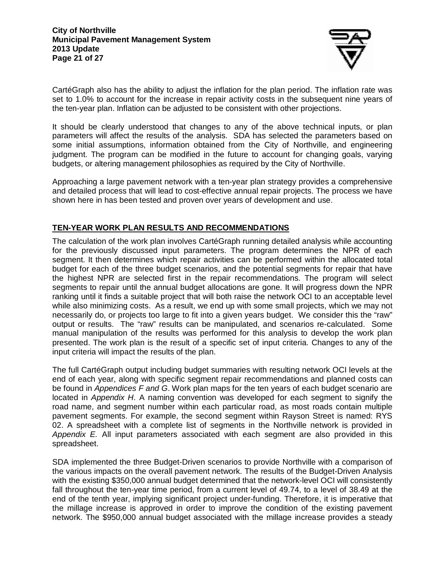

CartéGraph also has the ability to adjust the inflation for the plan period. The inflation rate was set to 1.0% to account for the increase in repair activity costs in the subsequent nine years of the ten-year plan. Inflation can be adjusted to be consistent with other projections.

It should be clearly understood that changes to any of the above technical inputs, or plan parameters will affect the results of the analysis. SDA has selected the parameters based on some initial assumptions, information obtained from the City of Northville, and engineering judgment. The program can be modified in the future to account for changing goals, varying budgets, or altering management philosophies as required by the City of Northville.

Approaching a large pavement network with a ten-year plan strategy provides a comprehensive and detailed process that will lead to cost-effective annual repair projects. The process we have shown here in has been tested and proven over years of development and use.

# **TEN-YEAR WORK PLAN RESULTS AND RECOMMENDATIONS**

The calculation of the work plan involves CartéGraph running detailed analysis while accounting for the previously discussed input parameters. The program determines the NPR of each segment. It then determines which repair activities can be performed within the allocated total budget for each of the three budget scenarios, and the potential segments for repair that have the highest NPR are selected first in the repair recommendations. The program will select segments to repair until the annual budget allocations are gone. It will progress down the NPR ranking until it finds a suitable project that will both raise the network OCI to an acceptable level while also minimizing costs. As a result, we end up with some small projects, which we may not necessarily do, or projects too large to fit into a given years budget. We consider this the "raw" output or results. The "raw" results can be manipulated, and scenarios re-calculated. Some manual manipulation of the results was performed for this analysis to develop the work plan presented. The work plan is the result of a specific set of input criteria. Changes to any of the input criteria will impact the results of the plan.

The full CartéGraph output including budget summaries with resulting network OCI levels at the end of each year, along with specific segment repair recommendations and planned costs can be found in Appendices F and G. Work plan maps for the ten years of each budget scenario are located in Appendix H. A naming convention was developed for each segment to signify the road name, and segment number within each particular road, as most roads contain multiple pavement segments. For example, the second segment within Rayson Street is named: RYS 02. A spreadsheet with a complete list of segments in the Northville network is provided in Appendix E. All input parameters associated with each segment are also provided in this spreadsheet.

SDA implemented the three Budget-Driven scenarios to provide Northville with a comparison of the various impacts on the overall pavement network. The results of the Budget-Driven Analysis with the existing \$350,000 annual budget determined that the network-level OCI will consistently fall throughout the ten-year time period, from a current level of 49.74, to a level of 38.49 at the end of the tenth year, implying significant project under-funding. Therefore, it is imperative that the millage increase is approved in order to improve the condition of the existing pavement network. The \$950,000 annual budget associated with the millage increase provides a steady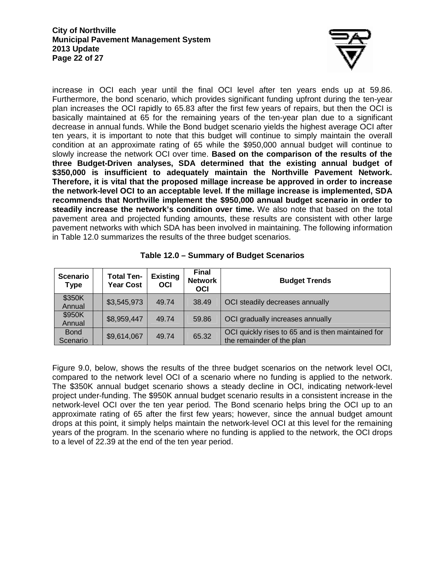

increase in OCI each year until the final OCI level after ten years ends up at 59.86. Furthermore, the bond scenario, which provides significant funding upfront during the ten-year plan increases the OCI rapidly to 65.83 after the first few years of repairs, but then the OCI is basically maintained at 65 for the remaining years of the ten-year plan due to a significant decrease in annual funds. While the Bond budget scenario yields the highest average OCI after ten years, it is important to note that this budget will continue to simply maintain the overall condition at an approximate rating of 65 while the \$950,000 annual budget will continue to slowly increase the network OCI over time. **Based on the comparison of the results of the three Budget-Driven analyses, SDA determined that the existing annual budget of \$350,000 is insufficient to adequately maintain the Northville Pavement Network. Therefore, it is vital that the proposed millage increase be approved in order to increase the network-level OCI to an acceptable level. If the millage increase is implemented, SDA recommends that Northville implement the \$950,000 annual budget scenario in order to steadily increase the network's condition over time.** We also note that based on the total pavement area and projected funding amounts, these results are consistent with other large pavement networks with which SDA has been involved in maintaining. The following information in Table 12.0 summarizes the results of the three budget scenarios.

| Scenario<br><b>Type</b> | <b>Total Ten-</b><br><b>Year Cost</b> | <b>Existing</b><br>OCI | <b>Final</b><br><b>Network</b><br><b>OCI</b> | <b>Budget Trends</b>                                                            |
|-------------------------|---------------------------------------|------------------------|----------------------------------------------|---------------------------------------------------------------------------------|
| \$350K<br>Annual        | \$3,545,973                           | 49.74                  | 38.49                                        | OCI steadily decreases annually                                                 |
| \$950K<br>Annual        | \$8,959,447                           | 49.74                  | 59.86                                        | OCI gradually increases annually                                                |
| <b>Bond</b><br>Scenario | \$9,614,067                           | 49.74                  | 65.32                                        | OCI quickly rises to 65 and is then maintained for<br>the remainder of the plan |

**Table 12.0 – Summary of Budget Scenarios** 

Figure 9.0, below, shows the results of the three budget scenarios on the network level OCI, compared to the network level OCI of a scenario where no funding is applied to the network. The \$350K annual budget scenario shows a steady decline in OCI, indicating network-level project under-funding. The \$950K annual budget scenario results in a consistent increase in the network-level OCI over the ten year period. The Bond scenario helps bring the OCI up to an approximate rating of 65 after the first few years; however, since the annual budget amount drops at this point, it simply helps maintain the network-level OCI at this level for the remaining years of the program. In the scenario where no funding is applied to the network, the OCI drops to a level of 22.39 at the end of the ten year period.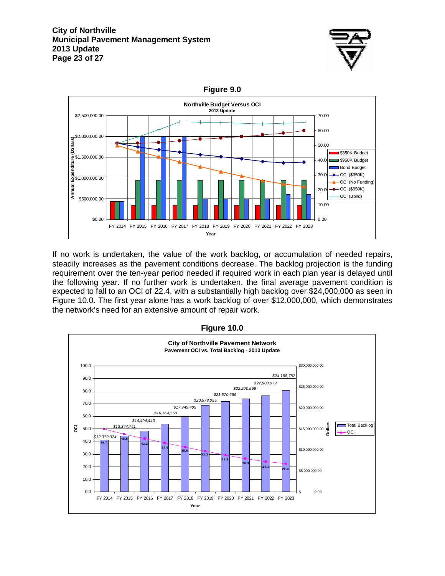

**Figure 9.0** 



If no work is undertaken, the value of the work backlog, or accumulation of needed repairs, steadily increases as the pavement conditions decrease. The backlog projection is the funding requirement over the ten-year period needed if required work in each plan year is delayed until the following year. If no further work is undertaken, the final average pavement condition is expected to fall to an OCI of 22.4, with a substantially high backlog over \$24,000,000 as seen in Figure 10.0. The first year alone has a work backlog of over \$12,000,000, which demonstrates the network's need for an extensive amount of repair work.



**Figure 10.0**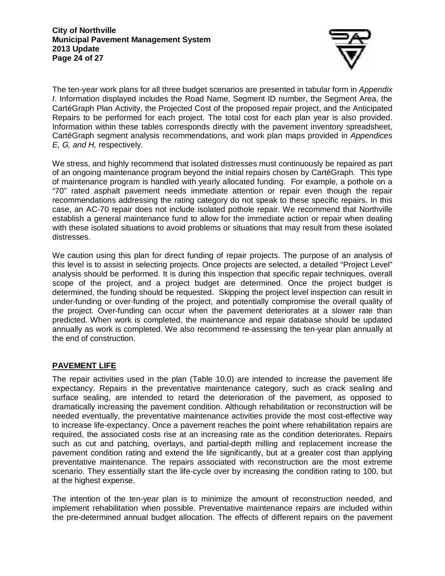

The ten-year work plans for all three budget scenarios are presented in tabular form in Appendix I. Information displayed includes the Road Name, Segment ID number, the Segment Area, the CartéGraph Plan Activity, the Projected Cost of the proposed repair project, and the Anticipated Repairs to be performed for each project. The total cost for each plan year is also provided. Information within these tables corresponds directly with the pavement inventory spreadsheet, CartéGraph segment analysis recommendations, and work plan maps provided in Appendices E, G, and H, respectively.

We stress, and highly recommend that isolated distresses must continuously be repaired as part of an ongoing maintenance program beyond the initial repairs chosen by CartéGraph. This type of maintenance program is handled with yearly allocated funding. For example, a pothole on a "70" rated asphalt pavement needs immediate attention or repair even though the repair recommendations addressing the rating category do not speak to these specific repairs. In this case, an AC-70 repair does not include isolated pothole repair. We recommend that Northville establish a general maintenance fund to allow for the immediate action or repair when dealing with these isolated situations to avoid problems or situations that may result from these isolated distresses.

We caution using this plan for direct funding of repair projects. The purpose of an analysis of this level is to assist in selecting projects. Once projects are selected, a detailed "Project Level" analysis should be performed. It is during this inspection that specific repair techniques, overall scope of the project, and a project budget are determined. Once the project budget is determined, the funding should be requested. Skipping the project level inspection can result in under-funding or over-funding of the project, and potentially compromise the overall quality of the project. Over-funding can occur when the pavement deteriorates at a slower rate than predicted. When work is completed, the maintenance and repair database should be updated annually as work is completed. We also recommend re-assessing the ten-year plan annually at the end of construction.

# **PAVEMENT LIFE**

The repair activities used in the plan (Table 10.0) are intended to increase the pavement life expectancy. Repairs in the preventative maintenance category, such as crack sealing and surface sealing, are intended to retard the deterioration of the pavement, as opposed to dramatically increasing the pavement condition. Although rehabilitation or reconstruction will be needed eventually, the preventative maintenance activities provide the most cost-effective way to increase life-expectancy. Once a pavement reaches the point where rehabilitation repairs are required, the associated costs rise at an increasing rate as the condition deteriorates. Repairs such as cut and patching, overlays, and partial-depth milling and replacement increase the pavement condition rating and extend the life significantly, but at a greater cost than applying preventative maintenance. The repairs associated with reconstruction are the most extreme scenario. They essentially start the life-cycle over by increasing the condition rating to 100, but at the highest expense.

The intention of the ten-year plan is to minimize the amount of reconstruction needed, and implement rehabilitation when possible. Preventative maintenance repairs are included within the pre-determined annual budget allocation. The effects of different repairs on the pavement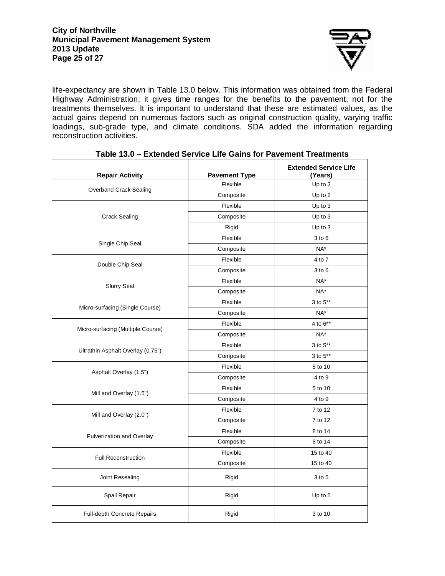

life-expectancy are shown in Table 13.0 below. This information was obtained from the Federal Highway Administration; it gives time ranges for the benefits to the pavement, not for the treatments themselves. It is important to understand that these are estimated values, as the actual gains depend on numerous factors such as original construction quality, varying traffic loadings, sub-grade type, and climate conditions. SDA added the information regarding reconstruction activities.

| <b>Repair Activity</b>             | <b>Pavement Type</b> | <b>Extended Service Life</b><br>(Years) |
|------------------------------------|----------------------|-----------------------------------------|
|                                    | Flexible             | Up to 2                                 |
| Overband Crack Sealing             | Composite            | Up to 2                                 |
|                                    | Flexible             | Up to 3                                 |
| <b>Crack Sealing</b>               | Composite            | Up to 3                                 |
|                                    | Rigid                | Up to 3                                 |
|                                    | Flexible             | $3$ to $6$                              |
| Single Chip Seal                   | Composite            | NA*                                     |
|                                    | Flexible             | 4 to 7                                  |
| Double Chip Seal                   | Composite            | $3$ to $6$                              |
|                                    | Flexible             | NA*                                     |
| <b>Slurry Seal</b>                 | Composite            | $NA^*$                                  |
|                                    | Flexible             | 3 to 5**                                |
| Micro-surfacing (Single Course)    | Composite            | NA*                                     |
|                                    | Flexible             | 4 to 6**                                |
| Micro-surfacing (Multiple Course)  | Composite            | NA*                                     |
|                                    | Flexible             | 3 to 5**                                |
| Ultrathin Asphalt Overlay (0.75")  | Composite            | 3 to 5**                                |
|                                    | Flexible             | 5 to 10                                 |
| Asphalt Overlay (1.5")             | Composite            | 4 to 9                                  |
| Mill and Overlay (1.5")            | Flexible             | 5 to 10                                 |
|                                    | Composite            | 4 to 9                                  |
| Mill and Overlay (2.0")            | Flexible             | 7 to 12                                 |
|                                    | Composite            | 7 to 12                                 |
|                                    | Flexible             | 8 to 14                                 |
| Pulverization and Overlay          | Composite            | 8 to 14                                 |
| <b>Full Reconstruction</b>         | Flexible             | 15 to 40                                |
|                                    | Composite            | 15 to 40                                |
| Joint Resealing                    | Rigid                | 3 to 5                                  |
| Spall Repair                       | Rigid                | Up to 5                                 |
| <b>Full-depth Concrete Repairs</b> | Rigid                | 3 to 10                                 |

#### **Table 13.0 – Extended Service Life Gains for Pavement Treatments**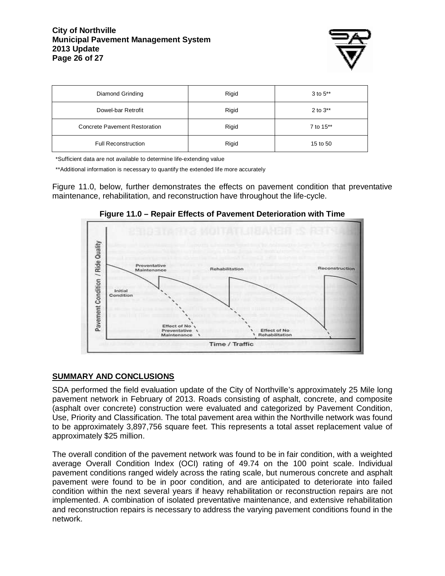#### **City of Northville Municipal Pavement Management System 2013 Update Page 26 of 27**



| Diamond Grinding              | Rigid | $3$ to $5**$  |
|-------------------------------|-------|---------------|
| Dowel-bar Retrofit            | Rigid | 2 to $3^{**}$ |
| Concrete Pavement Restoration | Rigid | 7 to 15**     |
| <b>Full Reconstruction</b>    | Rigid | 15 to 50      |

\*Sufficient data are not available to determine life-extending value

\*\*Additional information is necessary to quantify the extended life more accurately

Figure 11.0, below, further demonstrates the effects on pavement condition that preventative maintenance, rehabilitation, and reconstruction have throughout the life-cycle.



**Figure 11.0 – Repair Effects of Pavement Deterioration with Time** 

### **SUMMARY AND CONCLUSIONS**

SDA performed the field evaluation update of the City of Northville's approximately 25 Mile long pavement network in February of 2013. Roads consisting of asphalt, concrete, and composite (asphalt over concrete) construction were evaluated and categorized by Pavement Condition, Use, Priority and Classification. The total pavement area within the Northville network was found to be approximately 3,897,756 square feet. This represents a total asset replacement value of approximately \$25 million.

The overall condition of the pavement network was found to be in fair condition, with a weighted average Overall Condition Index (OCI) rating of 49.74 on the 100 point scale. Individual pavement conditions ranged widely across the rating scale, but numerous concrete and asphalt pavement were found to be in poor condition, and are anticipated to deteriorate into failed condition within the next several years if heavy rehabilitation or reconstruction repairs are not implemented. A combination of isolated preventative maintenance, and extensive rehabilitation and reconstruction repairs is necessary to address the varying pavement conditions found in the network.